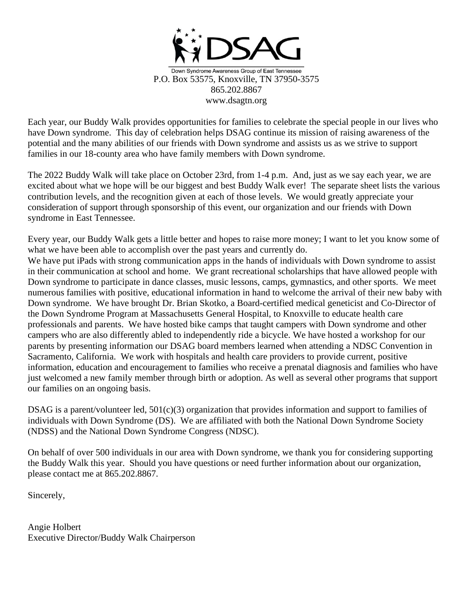

Each year, our Buddy Walk provides opportunities for families to celebrate the special people in our lives who have Down syndrome. This day of celebration helps DSAG continue its mission of raising awareness of the potential and the many abilities of our friends with Down syndrome and assists us as we strive to support families in our 18-county area who have family members with Down syndrome.

The 2022 Buddy Walk will take place on October 23rd, from 1-4 p.m. And, just as we say each year, we are excited about what we hope will be our biggest and best Buddy Walk ever! The separate sheet lists the various contribution levels, and the recognition given at each of those levels. We would greatly appreciate your consideration of support through sponsorship of this event, our organization and our friends with Down syndrome in East Tennessee.

Every year, our Buddy Walk gets a little better and hopes to raise more money; I want to let you know some of what we have been able to accomplish over the past years and currently do.

We have put iPads with strong communication apps in the hands of individuals with Down syndrome to assist in their communication at school and home. We grant recreational scholarships that have allowed people with Down syndrome to participate in dance classes, music lessons, camps, gymnastics, and other sports. We meet numerous families with positive, educational information in hand to welcome the arrival of their new baby with Down syndrome. We have brought Dr. Brian Skotko, a Board-certified medical geneticist and Co-Director of the Down Syndrome Program at Massachusetts General Hospital, to Knoxville to educate health care professionals and parents. We have hosted bike camps that taught campers with Down syndrome and other campers who are also differently abled to independently ride a bicycle. We have hosted a workshop for our parents by presenting information our DSAG board members learned when attending a NDSC Convention in Sacramento, California. We work with hospitals and health care providers to provide current, positive information, education and encouragement to families who receive a prenatal diagnosis and families who have just welcomed a new family member through birth or adoption. As well as several other programs that support our families on an ongoing basis.

DSAG is a parent/volunteer led, 501(c)(3) organization that provides information and support to families of individuals with Down Syndrome (DS). We are affiliated with both the National Down Syndrome Society (NDSS) and the National Down Syndrome Congress (NDSC).

On behalf of over 500 individuals in our area with Down syndrome, we thank you for considering supporting the Buddy Walk this year. Should you have questions or need further information about our organization, please contact me at 865.202.8867.

Sincerely,

Angie Holbert Executive Director/Buddy Walk Chairperson